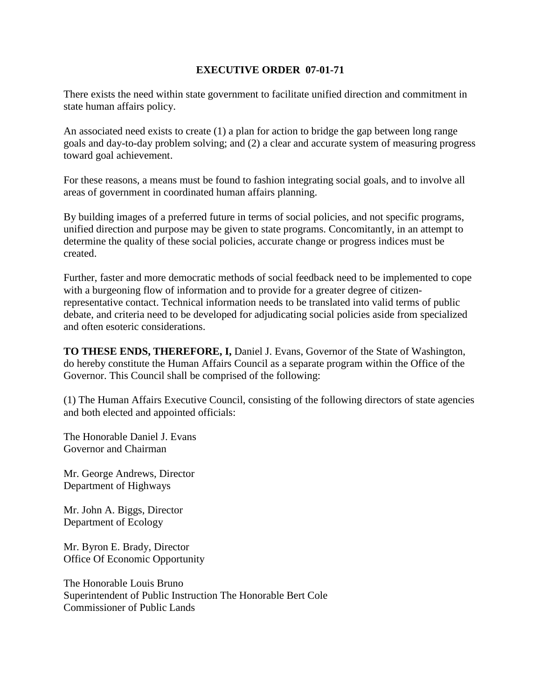## **EXECUTIVE ORDER 07-01-71**

There exists the need within state government to facilitate unified direction and commitment in state human affairs policy.

An associated need exists to create (1) a plan for action to bridge the gap between long range goals and day-to-day problem solving; and (2) a clear and accurate system of measuring progress toward goal achievement.

For these reasons, a means must be found to fashion integrating social goals, and to involve all areas of government in coordinated human affairs planning.

By building images of a preferred future in terms of social policies, and not specific programs, unified direction and purpose may be given to state programs. Concomitantly, in an attempt to determine the quality of these social policies, accurate change or progress indices must be created.

Further, faster and more democratic methods of social feedback need to be implemented to cope with a burgeoning flow of information and to provide for a greater degree of citizenrepresentative contact. Technical information needs to be translated into valid terms of public debate, and criteria need to be developed for adjudicating social policies aside from specialized and often esoteric considerations.

**TO THESE ENDS, THEREFORE, I,** Daniel J. Evans, Governor of the State of Washington, do hereby constitute the Human Affairs Council as a separate program within the Office of the Governor. This Council shall be comprised of the following:

(1) The Human Affairs Executive Council, consisting of the following directors of state agencies and both elected and appointed officials:

The Honorable Daniel J. Evans Governor and Chairman

Mr. George Andrews, Director Department of Highways

Mr. John A. Biggs, Director Department of Ecology

Mr. Byron E. Brady, Director Office Of Economic Opportunity

The Honorable Louis Bruno Superintendent of Public Instruction The Honorable Bert Cole Commissioner of Public Lands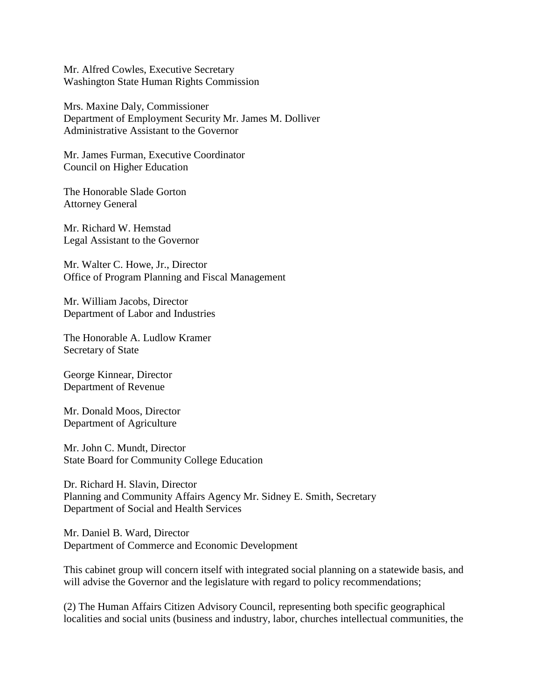Mr. Alfred Cowles, Executive Secretary Washington State Human Rights Commission

Mrs. Maxine Daly, Commissioner Department of Employment Security Mr. James M. Dolliver Administrative Assistant to the Governor

Mr. James Furman, Executive Coordinator Council on Higher Education

The Honorable Slade Gorton Attorney General

Mr. Richard W. Hemstad Legal Assistant to the Governor

Mr. Walter C. Howe, Jr., Director Office of Program Planning and Fiscal Management

Mr. William Jacobs, Director Department of Labor and Industries

The Honorable A. Ludlow Kramer Secretary of State

George Kinnear, Director Department of Revenue

Mr. Donald Moos, Director Department of Agriculture

Mr. John C. Mundt, Director State Board for Community College Education

Dr. Richard H. Slavin, Director Planning and Community Affairs Agency Mr. Sidney E. Smith, Secretary Department of Social and Health Services

Mr. Daniel B. Ward, Director Department of Commerce and Economic Development

This cabinet group will concern itself with integrated social planning on a statewide basis, and will advise the Governor and the legislature with regard to policy recommendations;

(2) The Human Affairs Citizen Advisory Council, representing both specific geographical localities and social units (business and industry, labor, churches intellectual communities, the